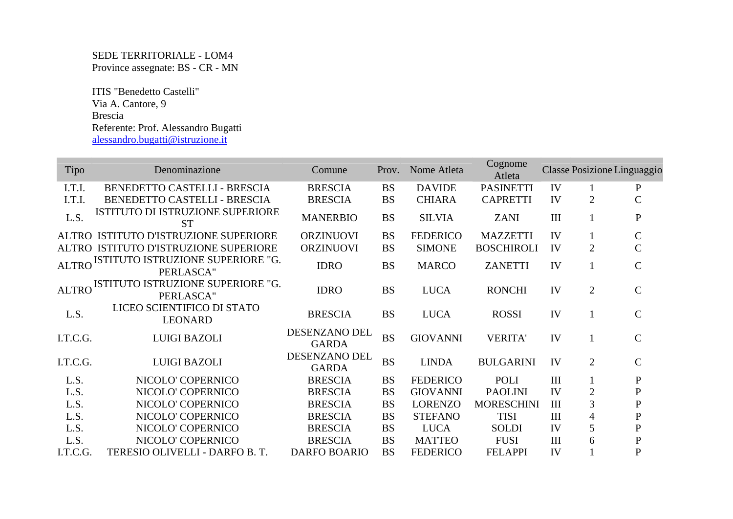## SEDE TERRITORIALE - LOM4 Province assegnate: BS - CR - MN

 ITIS "Benedetto Castelli" Via A. Cantore, 9 Brescia Referente: Prof. Alessandro Bugatti alessandro.bugatti@istruzione.it

| <b>Tipo</b>  | Denominazione                                  | Comune                        | Prov.     | Nome Atleta     | Cognome<br>Atleta |     |                | Classe Posizione Linguaggio |
|--------------|------------------------------------------------|-------------------------------|-----------|-----------------|-------------------|-----|----------------|-----------------------------|
| I.T.I.       | BENEDETTO CASTELLI - BRESCIA                   | <b>BRESCIA</b>                | <b>BS</b> | <b>DAVIDE</b>   | <b>PASINETTI</b>  | IV  |                | $\mathbf P$                 |
| I.T.I.       | BENEDETTO CASTELLI - BRESCIA                   | <b>BRESCIA</b>                | <b>BS</b> | <b>CHIARA</b>   | <b>CAPRETTI</b>   | IV  | $\overline{2}$ | $\overline{C}$              |
| L.S.         | ISTITUTO DI ISTRUZIONE SUPERIORE<br><b>ST</b>  | <b>MANERBIO</b>               | <b>BS</b> | <b>SILVIA</b>   | <b>ZANI</b>       | III |                | ${\bf P}$                   |
|              | ALTRO ISTITUTO D'ISTRUZIONE SUPERIORE          | <b>ORZINUOVI</b>              | <b>BS</b> | <b>FEDERICO</b> | <b>MAZZETTI</b>   | IV  |                | $\mathsf{C}$                |
|              | ALTRO ISTITUTO D'ISTRUZIONE SUPERIORE          | <b>ORZINUOVI</b>              | <b>BS</b> | <b>SIMONE</b>   | <b>BOSCHIROLI</b> | IV  | $\overline{2}$ | $\overline{C}$              |
| <b>ALTRO</b> | ISTITUTO ISTRUZIONE SUPERIORE "G.<br>PERLASCA" | <b>IDRO</b>                   | <b>BS</b> | <b>MARCO</b>    | <b>ZANETTI</b>    | IV  |                | $\mathbf C$                 |
| <b>ALTRO</b> | ISTITUTO ISTRUZIONE SUPERIORE "G.<br>PERLASCA" | <b>IDRO</b>                   | <b>BS</b> | <b>LUCA</b>     | <b>RONCHI</b>     | IV  | $\overline{2}$ | $\mathbf C$                 |
| L.S.         | LICEO SCIENTIFICO DI STATO<br><b>LEONARD</b>   | <b>BRESCIA</b>                | <b>BS</b> | <b>LUCA</b>     | <b>ROSSI</b>      | IV  | 1              | $\mathbf C$                 |
| I.T.C.G.     | <b>LUIGI BAZOLI</b>                            | DESENZANO DEL<br><b>GARDA</b> | <b>BS</b> | <b>GIOVANNI</b> | <b>VERITA'</b>    | IV  |                | $\mathbf C$                 |
| I.T.C.G.     | <b>LUIGI BAZOLI</b>                            | DESENZANO DEL<br><b>GARDA</b> | <b>BS</b> | <b>LINDA</b>    | <b>BULGARINI</b>  | IV  | $\overline{2}$ | $\mathcal{C}$               |
| L.S.         | NICOLO' COPERNICO                              | <b>BRESCIA</b>                | <b>BS</b> | <b>FEDERICO</b> | POLI              | III | 1              | $\mathbf P$                 |
| L.S.         | NICOLO' COPERNICO                              | <b>BRESCIA</b>                | <b>BS</b> | <b>GIOVANNI</b> | <b>PAOLINI</b>    | IV  | $\overline{2}$ | ${\bf P}$                   |
| L.S.         | NICOLO' COPERNICO                              | <b>BRESCIA</b>                | <b>BS</b> | <b>LORENZO</b>  | <b>MORESCHINI</b> | III | 3              | $\mathbf P$                 |
| L.S.         | NICOLO' COPERNICO                              | <b>BRESCIA</b>                | <b>BS</b> | <b>STEFANO</b>  | <b>TISI</b>       | III | 4              | $\mathbf P$                 |
| L.S.         | NICOLO' COPERNICO                              | <b>BRESCIA</b>                | <b>BS</b> | <b>LUCA</b>     | <b>SOLDI</b>      | IV  | 5              | ${\bf P}$                   |
| L.S.         | NICOLO' COPERNICO                              | <b>BRESCIA</b>                | <b>BS</b> | <b>MATTEO</b>   | <b>FUSI</b>       | III | 6              | $\mathbf P$                 |
| I.T.C.G.     | TERESIO OLIVELLI - DARFO B. T.                 | <b>DARFO BOARIO</b>           | <b>BS</b> | <b>FEDERICO</b> | <b>FELAPPI</b>    | IV  |                | $\mathbf P$                 |